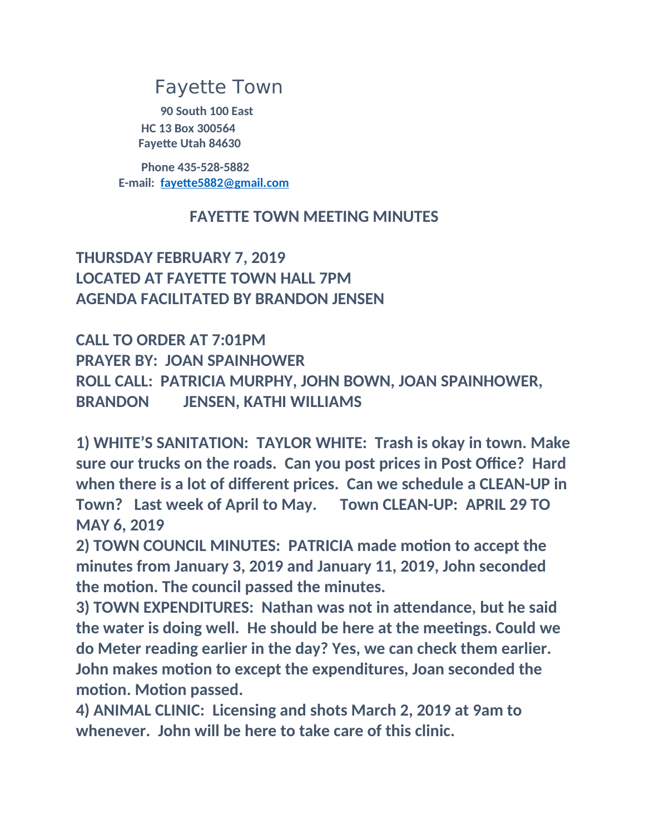# Fayette Town

**90 South 100 East HC 13 Box 300564 Fayette Utah 84630**

**Phone 435-528-5882 E-mail: [fayette5882@gmail.com](mailto:fayette5882@gmail.com)**

### **FAYETTE TOWN MEETING MINUTES**

## **THURSDAY FEBRUARY 7, 2019 LOCATED AT FAYETTE TOWN HALL 7PM AGENDA FACILITATED BY BRANDON JENSEN**

**CALL TO ORDER AT 7:01PM PRAYER BY: JOAN SPAINHOWER ROLL CALL: PATRICIA MURPHY, JOHN BOWN, JOAN SPAINHOWER, BRANDON JENSEN, KATHI WILLIAMS**

**1) WHITE'S SANITATION: TAYLOR WHITE: Trash is okay in town. Make sure our trucks on the roads. Can you post prices in Post Office? Hard when there is a lot of different prices. Can we schedule a CLEAN-UP in Town? Last week of April to May. Town CLEAN-UP: APRIL 29 TO MAY 6, 2019**

**2) TOWN COUNCIL MINUTES: PATRICIA made motion to accept the minutes from January 3, 2019 and January 11, 2019, John seconded the motion. The council passed the minutes.**

**3) TOWN EXPENDITURES: Nathan was not in attendance, but he said the water is doing well. He should be here at the meetings. Could we do Meter reading earlier in the day? Yes, we can check them earlier. John makes motion to except the expenditures, Joan seconded the motion. Motion passed.**

**4) ANIMAL CLINIC: Licensing and shots March 2, 2019 at 9am to whenever. John will be here to take care of this clinic.**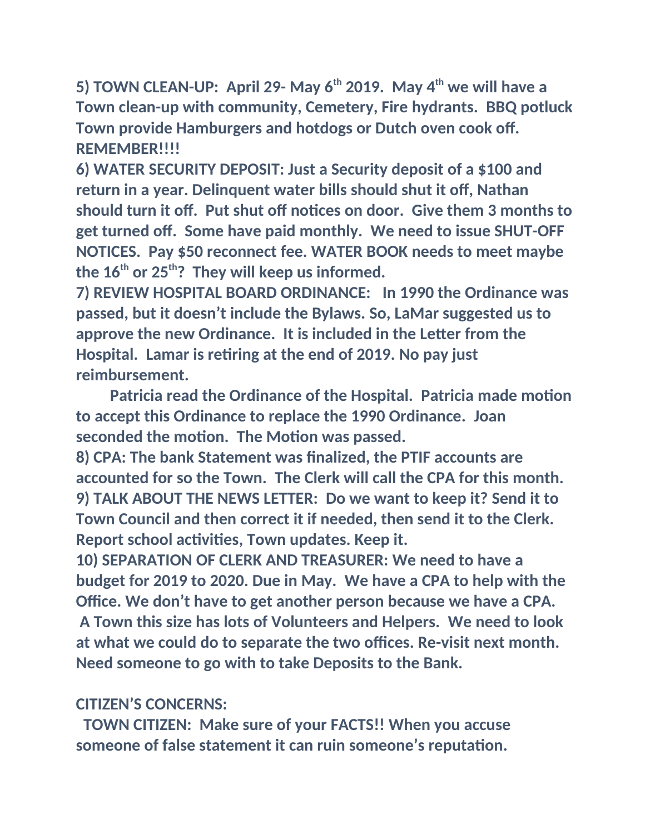**5) TOWN CLEAN-UP: April 29- May 6th 2019. May 4th we will have a Town clean-up with community, Cemetery, Fire hydrants. BBQ potluck Town provide Hamburgers and hotdogs or Dutch oven cook off. REMEMBER!!!!**

**6) WATER SECURITY DEPOSIT: Just a Security deposit of a \$100 and return in a year. Delinquent water bills should shut it off, Nathan should turn it off. Put shut off notices on door. Give them 3 months to get turned off. Some have paid monthly. We need to issue SHUT-OFF NOTICES. Pay \$50 reconnect fee. WATER BOOK needs to meet maybe the 16th or 25th? They will keep us informed.**

**7) REVIEW HOSPITAL BOARD ORDINANCE: In 1990 the Ordinance was passed, but it doesn't include the Bylaws. So, LaMar suggested us to approve the new Ordinance. It is included in the Letter from the Hospital. Lamar is retiring at the end of 2019. No pay just reimbursement.**

 **Patricia read the Ordinance of the Hospital. Patricia made motion to accept this Ordinance to replace the 1990 Ordinance. Joan seconded the motion. The Motion was passed.**

**8) CPA: The bank Statement was finalized, the PTIF accounts are accounted for so the Town. The Clerk will call the CPA for this month. 9) TALK ABOUT THE NEWS LETTER: Do we want to keep it? Send it to Town Council and then correct it if needed, then send it to the Clerk. Report school activities, Town updates. Keep it.**

**10) SEPARATION OF CLERK AND TREASURER: We need to have a budget for 2019 to 2020. Due in May. We have a CPA to help with the Office. We don't have to get another person because we have a CPA. A Town this size has lots of Volunteers and Helpers. We need to look at what we could do to separate the two offices. Re-visit next month. Need someone to go with to take Deposits to the Bank.**

### **CITIZEN'S CONCERNS:**

 **TOWN CITIZEN: Make sure of your FACTS!! When you accuse someone of false statement it can ruin someone's reputation.**